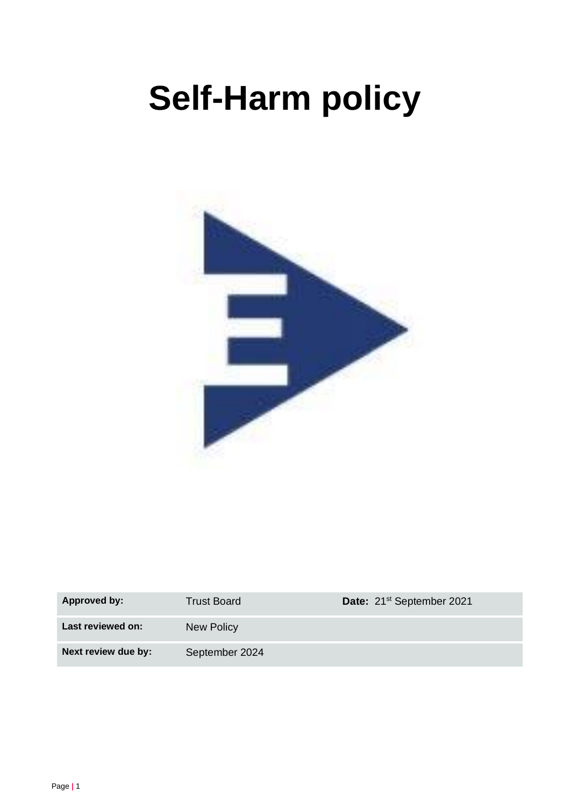# **Self-Harm policy**



| <b>Approved by:</b> | <b>Trust Board</b> | Date: 21 <sup>st</sup> September 2021 |
|---------------------|--------------------|---------------------------------------|
| Last reviewed on:   | New Policy         |                                       |
| Next review due by: | September 2024     |                                       |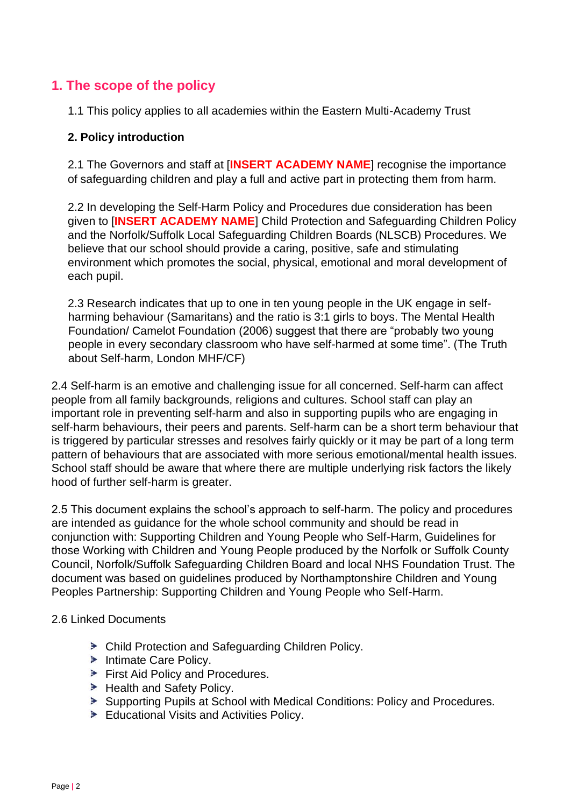# **1. The scope of the policy**

1.1 This policy applies to all academies within the Eastern Multi-Academy Trust

## **2. Policy introduction**

2.1 The Governors and staff at [**INSERT ACADEMY NAME**] recognise the importance of safeguarding children and play a full and active part in protecting them from harm.

2.2 In developing the Self-Harm Policy and Procedures due consideration has been given to [**INSERT ACADEMY NAME**] Child Protection and Safeguarding Children Policy and the Norfolk/Suffolk Local Safeguarding Children Boards (NLSCB) Procedures. We believe that our school should provide a caring, positive, safe and stimulating environment which promotes the social, physical, emotional and moral development of each pupil.

2.3 Research indicates that up to one in ten young people in the UK engage in selfharming behaviour (Samaritans) and the ratio is 3:1 girls to boys. The Mental Health Foundation/ Camelot Foundation (2006) suggest that there are "probably two young people in every secondary classroom who have self-harmed at some time". (The Truth about Self-harm, London MHF/CF)

2.4 Self-harm is an emotive and challenging issue for all concerned. Self-harm can affect people from all family backgrounds, religions and cultures. School staff can play an important role in preventing self-harm and also in supporting pupils who are engaging in self-harm behaviours, their peers and parents. Self-harm can be a short term behaviour that is triggered by particular stresses and resolves fairly quickly or it may be part of a long term pattern of behaviours that are associated with more serious emotional/mental health issues. School staff should be aware that where there are multiple underlying risk factors the likely hood of further self-harm is greater.

2.5 This document explains the school's approach to self-harm. The policy and procedures are intended as guidance for the whole school community and should be read in conjunction with: Supporting Children and Young People who Self-Harm, Guidelines for those Working with Children and Young People produced by the Norfolk or Suffolk County Council, Norfolk/Suffolk Safeguarding Children Board and local NHS Foundation Trust. The document was based on guidelines produced by Northamptonshire Children and Young Peoples Partnership: Supporting Children and Young People who Self-Harm.

#### 2.6 Linked Documents

- ▶ Child Protection and Safeguarding Children Policy.
- Intimate Care Policy.
- ▶ First Aid Policy and Procedures.
- ▶ Health and Safety Policy.
- ▶ Supporting Pupils at School with Medical Conditions: Policy and Procedures.
- ▶ Educational Visits and Activities Policy.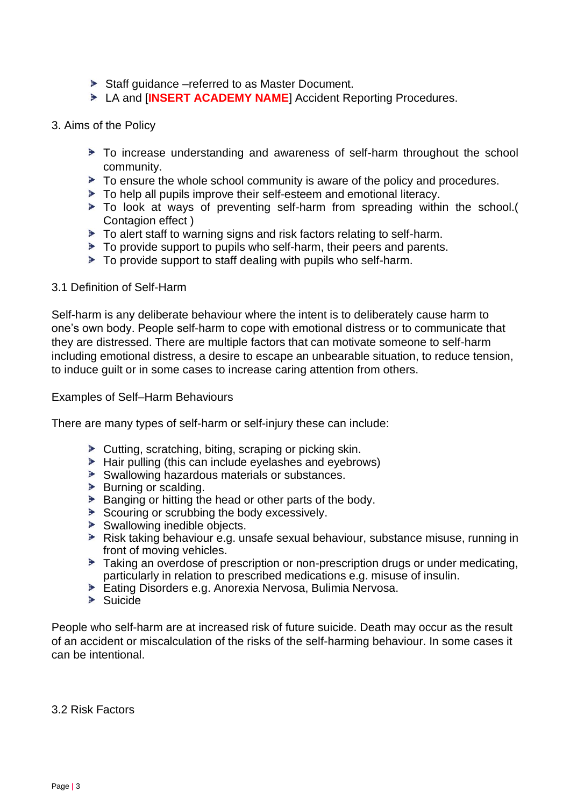- ▶ Staff guidance –referred to as Master Document.
- **▶ LA and <b>INSERT ACADEMY NAME** Accident Reporting Procedures.
- 3. Aims of the Policy
	- To increase understanding and awareness of self-harm throughout the school community.
	- To ensure the whole school community is aware of the policy and procedures.
	- To help all pupils improve their self-esteem and emotional literacy.
	- To look at ways of preventing self-harm from spreading within the school.( Contagion effect )
	- To alert staff to warning signs and risk factors relating to self-harm.
	- ▶ To provide support to pupils who self-harm, their peers and parents.
	- To provide support to staff dealing with pupils who self-harm.

#### 3.1 Definition of Self-Harm

Self-harm is any deliberate behaviour where the intent is to deliberately cause harm to one's own body. People self-harm to cope with emotional distress or to communicate that they are distressed. There are multiple factors that can motivate someone to self-harm including emotional distress, a desire to escape an unbearable situation, to reduce tension, to induce guilt or in some cases to increase caring attention from others.

Examples of Self–Harm Behaviours

There are many types of self-harm or self-injury these can include:

- Cutting, scratching, biting, scraping or picking skin.
- ▶ Hair pulling (this can include eyelashes and eyebrows)
- Swallowing hazardous materials or substances.
- $\triangleright$  Burning or scalding.
- $\triangleright$  Banging or hitting the head or other parts of the body.
- $\geq$  Scouring or scrubbing the body excessively.
- $\blacktriangleright$  Swallowing inedible objects.
- ▶ Risk taking behaviour e.g. unsafe sexual behaviour, substance misuse, running in front of moving vehicles.
- Taking an overdose of prescription or non-prescription drugs or under medicating, particularly in relation to prescribed medications e.g. misuse of insulin.
- Eating Disorders e.g. Anorexia Nervosa, Bulimia Nervosa.
- $\blacktriangleright$  Suicide

People who self-harm are at increased risk of future suicide. Death may occur as the result of an accident or miscalculation of the risks of the self-harming behaviour. In some cases it can be intentional.

3.2 Risk Factors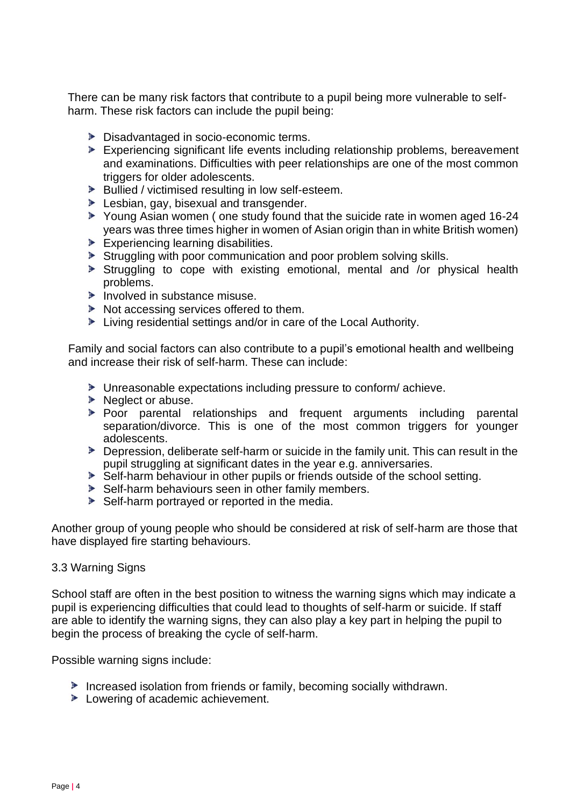There can be many risk factors that contribute to a pupil being more vulnerable to selfharm. These risk factors can include the pupil being:

- Disadvantaged in socio-economic terms.
- Experiencing significant life events including relationship problems, bereavement and examinations. Difficulties with peer relationships are one of the most common triggers for older adolescents.
- ▶ Bullied / victimised resulting in low self-esteem.
- Eesbian, gay, bisexual and transgender.
- Young Asian women ( one study found that the suicide rate in women aged 16-24 years was three times higher in women of Asian origin than in white British women)
- $\blacktriangleright$  Experiencing learning disabilities.
- $\triangleright$  Struggling with poor communication and poor problem solving skills.
- $\geq$  Struggling to cope with existing emotional, mental and /or physical health problems.
- $\rightarrow$  Involved in substance misuse.
- $\triangleright$  Not accessing services offered to them.
- Living residential settings and/or in care of the Local Authority.

Family and social factors can also contribute to a pupil's emotional health and wellbeing and increase their risk of self-harm. These can include:

- Unreasonable expectations including pressure to conform/ achieve.
- $\blacktriangleright$  Neglect or abuse.
- Poor parental relationships and frequent arguments including parental separation/divorce. This is one of the most common triggers for younger adolescents.
- **EX** Depression, deliberate self-harm or suicide in the family unit. This can result in the pupil struggling at significant dates in the year e.g. anniversaries.
- Self-harm behaviour in other pupils or friends outside of the school setting.
- $\triangleright$  Self-harm behaviours seen in other family members.
- $\triangleright$  Self-harm portrayed or reported in the media.

Another group of young people who should be considered at risk of self-harm are those that have displayed fire starting behaviours.

#### 3.3 Warning Signs

School staff are often in the best position to witness the warning signs which may indicate a pupil is experiencing difficulties that could lead to thoughts of self-harm or suicide. If staff are able to identify the warning signs, they can also play a key part in helping the pupil to begin the process of breaking the cycle of self-harm.

Possible warning signs include:

- Increased isolation from friends or family, becoming socially withdrawn.
- **EXECUTE:** Lowering of academic achievement.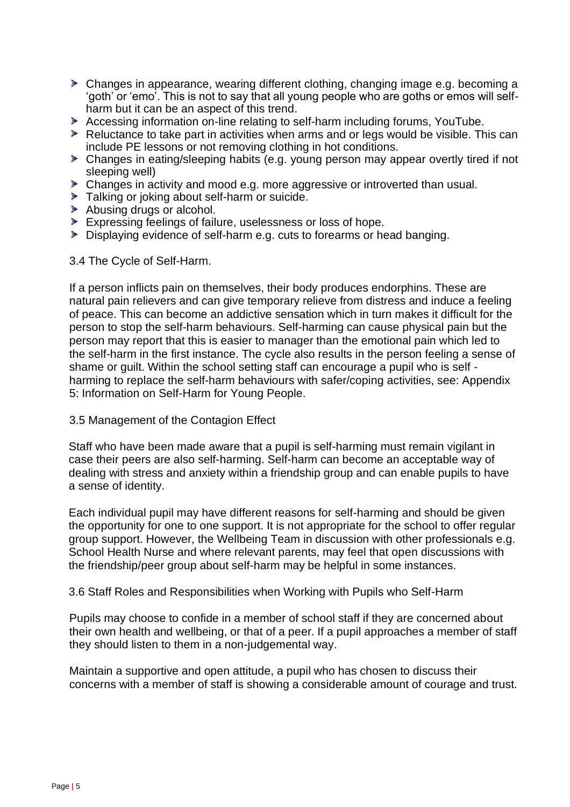- Changes in appearance, wearing different clothing, changing image e.g. becoming a 'goth' or 'emo'. This is not to say that all young people who are goths or emos will selfharm but it can be an aspect of this trend.
- Accessing information on-line relating to self-harm including forums, YouTube.
- ▶ Reluctance to take part in activities when arms and or legs would be visible. This can include PE lessons or not removing clothing in hot conditions.
- Changes in eating/sleeping habits (e.g. young person may appear overtly tired if not sleeping well)
- Changes in activity and mood e.g. more aggressive or introverted than usual.
- Talking or joking about self-harm or suicide.
- $\triangleright$  Abusing drugs or alcohol.
- Expressing feelings of failure, uselessness or loss of hope.
- Displaying evidence of self-harm e.g. cuts to forearms or head banging.

3.4 The Cycle of Self-Harm.

If a person inflicts pain on themselves, their body produces endorphins. These are natural pain relievers and can give temporary relieve from distress and induce a feeling of peace. This can become an addictive sensation which in turn makes it difficult for the person to stop the self-harm behaviours. Self-harming can cause physical pain but the person may report that this is easier to manager than the emotional pain which led to the self-harm in the first instance. The cycle also results in the person feeling a sense of shame or guilt. Within the school setting staff can encourage a pupil who is self harming to replace the self-harm behaviours with safer/coping activities, see: Appendix 5: Information on Self-Harm for Young People.

3.5 Management of the Contagion Effect

Staff who have been made aware that a pupil is self-harming must remain vigilant in case their peers are also self-harming. Self-harm can become an acceptable way of dealing with stress and anxiety within a friendship group and can enable pupils to have a sense of identity.

Each individual pupil may have different reasons for self-harming and should be given the opportunity for one to one support. It is not appropriate for the school to offer regular group support. However, the Wellbeing Team in discussion with other professionals e.g. School Health Nurse and where relevant parents, may feel that open discussions with the friendship/peer group about self-harm may be helpful in some instances.

3.6 Staff Roles and Responsibilities when Working with Pupils who Self-Harm

Pupils may choose to confide in a member of school staff if they are concerned about their own health and wellbeing, or that of a peer. If a pupil approaches a member of staff they should listen to them in a non-judgemental way.

Maintain a supportive and open attitude, a pupil who has chosen to discuss their concerns with a member of staff is showing a considerable amount of courage and trust.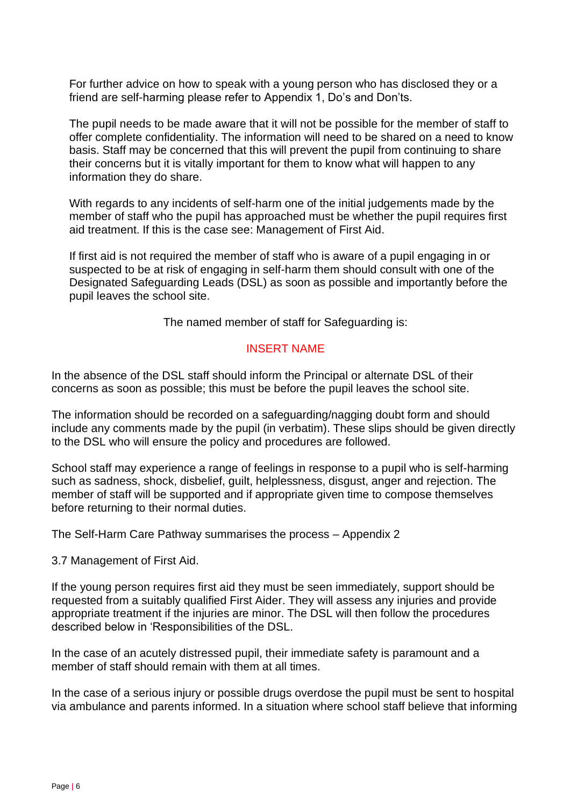For further advice on how to speak with a young person who has disclosed they or a friend are self-harming please refer to Appendix 1, Do's and Don'ts.

The pupil needs to be made aware that it will not be possible for the member of staff to offer complete confidentiality. The information will need to be shared on a need to know basis. Staff may be concerned that this will prevent the pupil from continuing to share their concerns but it is vitally important for them to know what will happen to any information they do share.

With regards to any incidents of self-harm one of the initial judgements made by the member of staff who the pupil has approached must be whether the pupil requires first aid treatment. If this is the case see: Management of First Aid.

If first aid is not required the member of staff who is aware of a pupil engaging in or suspected to be at risk of engaging in self-harm them should consult with one of the Designated Safeguarding Leads (DSL) as soon as possible and importantly before the pupil leaves the school site.

The named member of staff for Safeguarding is:

## INSERT NAME

In the absence of the DSL staff should inform the Principal or alternate DSL of their concerns as soon as possible; this must be before the pupil leaves the school site.

The information should be recorded on a safeguarding/nagging doubt form and should include any comments made by the pupil (in verbatim). These slips should be given directly to the DSL who will ensure the policy and procedures are followed.

School staff may experience a range of feelings in response to a pupil who is self-harming such as sadness, shock, disbelief, guilt, helplessness, disgust, anger and rejection. The member of staff will be supported and if appropriate given time to compose themselves before returning to their normal duties.

The Self-Harm Care Pathway summarises the process – Appendix 2

3.7 Management of First Aid.

If the young person requires first aid they must be seen immediately, support should be requested from a suitably qualified First Aider. They will assess any injuries and provide appropriate treatment if the injuries are minor. The DSL will then follow the procedures described below in 'Responsibilities of the DSL.

In the case of an acutely distressed pupil, their immediate safety is paramount and a member of staff should remain with them at all times.

In the case of a serious injury or possible drugs overdose the pupil must be sent to hospital via ambulance and parents informed. In a situation where school staff believe that informing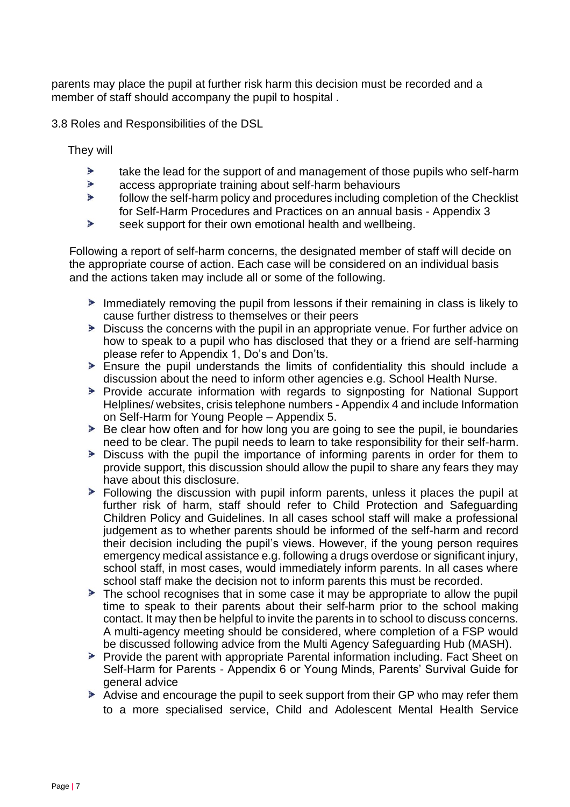parents may place the pupil at further risk harm this decision must be recorded and a member of staff should accompany the pupil to hospital .

3.8 Roles and Responsibilities of the DSL

They will

- $\blacktriangleright$ take the lead for the support of and management of those pupils who self-harm
- $\blacktriangleright$ access appropriate training about self-harm behaviours
- $\blacktriangleright$ follow the self-harm policy and procedures including completion of the Checklist for Self-Harm Procedures and Practices on an annual basis - Appendix 3
- $\blacktriangleright$ seek support for their own emotional health and wellbeing.

Following a report of self-harm concerns, the designated member of staff will decide on the appropriate course of action. Each case will be considered on an individual basis and the actions taken may include all or some of the following.

- Immediately removing the pupil from lessons if their remaining in class is likely to cause further distress to themselves or their peers
- Discuss the concerns with the pupil in an appropriate venue. For further advice on how to speak to a pupil who has disclosed that they or a friend are self-harming please refer to Appendix 1, Do's and Don'ts.
- $\geq$  Ensure the pupil understands the limits of confidentiality this should include a discussion about the need to inform other agencies e.g. School Health Nurse.
- $\triangleright$  Provide accurate information with regards to signposting for National Support Helplines/ websites, crisis telephone numbers - Appendix 4 and include Information on Self-Harm for Young People – Appendix 5.
- $\triangleright$  Be clear how often and for how long you are going to see the pupil, ie boundaries need to be clear. The pupil needs to learn to take responsibility for their self-harm.
- Discuss with the pupil the importance of informing parents in order for them to provide support, this discussion should allow the pupil to share any fears they may have about this disclosure.
- Following the discussion with pupil inform parents, unless it places the pupil at further risk of harm, staff should refer to Child Protection and Safeguarding Children Policy and Guidelines. In all cases school staff will make a professional judgement as to whether parents should be informed of the self-harm and record their decision including the pupil's views. However, if the young person requires emergency medical assistance e.g. following a drugs overdose or significant injury, school staff, in most cases, would immediately inform parents. In all cases where school staff make the decision not to inform parents this must be recorded.
- $\triangleright$  The school recognises that in some case it may be appropriate to allow the pupil time to speak to their parents about their self-harm prior to the school making contact. It may then be helpful to invite the parents in to school to discuss concerns. A multi-agency meeting should be considered, where completion of a FSP would be discussed following advice from the Multi Agency Safeguarding Hub (MASH).
- ▶ Provide the parent with appropriate Parental information including. Fact Sheet on Self-Harm for Parents - Appendix 6 or Young Minds, Parents' Survival Guide for general advice
- Advise and encourage the pupil to seek support from their GP who may refer them to a more specialised service, Child and Adolescent Mental Health Service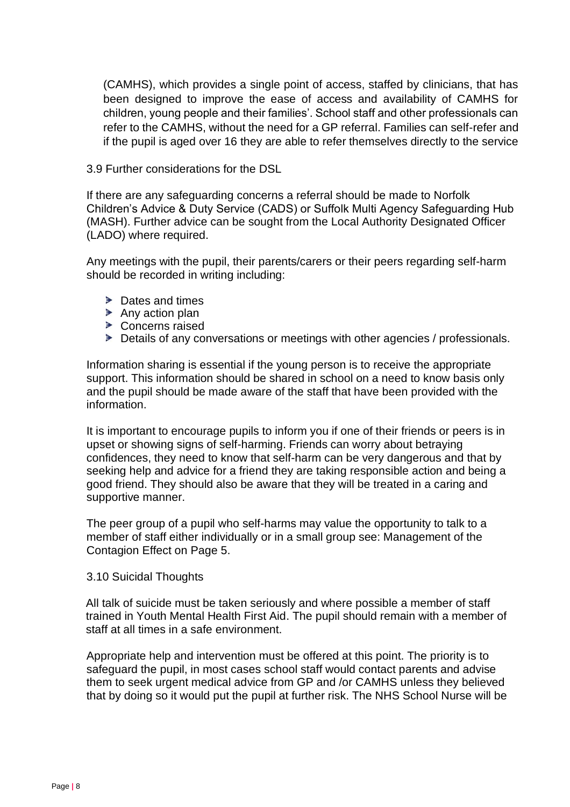(CAMHS), which provides a single point of access, staffed by clinicians, that has been designed to improve the ease of access and availability of CAMHS for children, young people and their families'. School staff and other professionals can refer to the CAMHS, without the need for a GP referral. Families can self-refer and if the pupil is aged over 16 they are able to refer themselves directly to the service

#### 3.9 Further considerations for the DSL

If there are any safeguarding concerns a referral should be made to Norfolk Children's Advice & Duty Service (CADS) or Suffolk Multi Agency Safeguarding Hub (MASH). Further advice can be sought from the Local Authority Designated Officer (LADO) where required.

Any meetings with the pupil, their parents/carers or their peers regarding self-harm should be recorded in writing including:

- $\triangleright$  Dates and times
- $\blacktriangleright$  Any action plan
- **▶ Concerns raised**
- Details of any conversations or meetings with other agencies / professionals.

Information sharing is essential if the young person is to receive the appropriate support. This information should be shared in school on a need to know basis only and the pupil should be made aware of the staff that have been provided with the information.

It is important to encourage pupils to inform you if one of their friends or peers is in upset or showing signs of self-harming. Friends can worry about betraying confidences, they need to know that self-harm can be very dangerous and that by seeking help and advice for a friend they are taking responsible action and being a good friend. They should also be aware that they will be treated in a caring and supportive manner.

The peer group of a pupil who self-harms may value the opportunity to talk to a member of staff either individually or in a small group see: Management of the Contagion Effect on Page 5.

#### 3.10 Suicidal Thoughts

All talk of suicide must be taken seriously and where possible a member of staff trained in Youth Mental Health First Aid. The pupil should remain with a member of staff at all times in a safe environment.

Appropriate help and intervention must be offered at this point. The priority is to safeguard the pupil, in most cases school staff would contact parents and advise them to seek urgent medical advice from GP and /or CAMHS unless they believed that by doing so it would put the pupil at further risk. The NHS School Nurse will be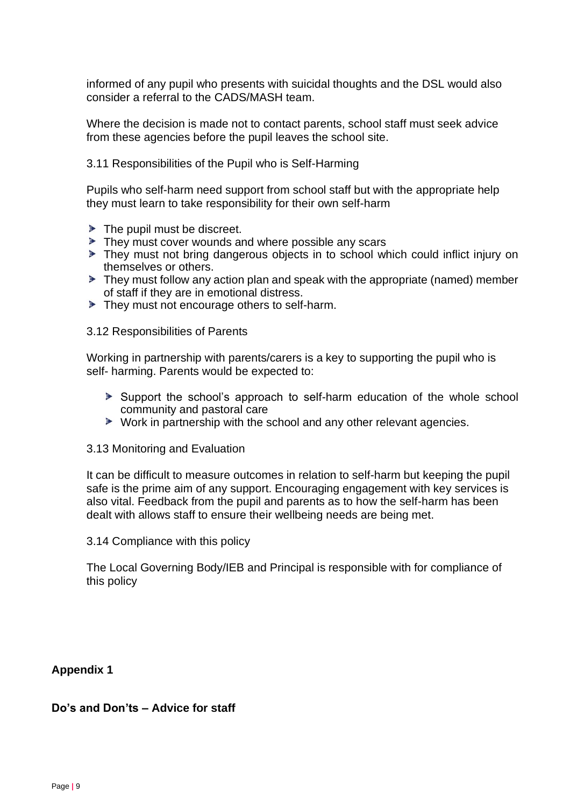informed of any pupil who presents with suicidal thoughts and the DSL would also consider a referral to the CADS/MASH team.

Where the decision is made not to contact parents, school staff must seek advice from these agencies before the pupil leaves the school site.

3.11 Responsibilities of the Pupil who is Self-Harming

Pupils who self-harm need support from school staff but with the appropriate help they must learn to take responsibility for their own self-harm

- $\blacktriangleright$  The pupil must be discreet.
- They must cover wounds and where possible any scars
- ▶ They must not bring dangerous objects in to school which could inflict injury on themselves or others.
- ▶ They must follow any action plan and speak with the appropriate (named) member of staff if they are in emotional distress.
- They must not encourage others to self-harm.
- 3.12 Responsibilities of Parents

Working in partnership with parents/carers is a key to supporting the pupil who is self- harming. Parents would be expected to:

- $\geq$  Support the school's approach to self-harm education of the whole school community and pastoral care
- Work in partnership with the school and any other relevant agencies.
- 3.13 Monitoring and Evaluation

It can be difficult to measure outcomes in relation to self-harm but keeping the pupil safe is the prime aim of any support. Encouraging engagement with key services is also vital. Feedback from the pupil and parents as to how the self-harm has been dealt with allows staff to ensure their wellbeing needs are being met.

3.14 Compliance with this policy

The Local Governing Body/IEB and Principal is responsible with for compliance of this policy

**Appendix 1**

**Do's and Don'ts – Advice for staff**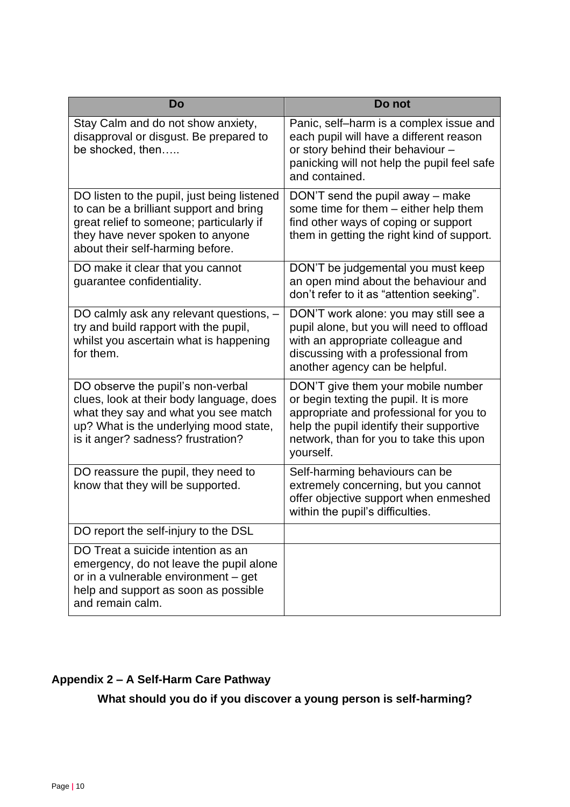| Do                                                                                                                                                                                                         | Do not                                                                                                                                                                                                                      |
|------------------------------------------------------------------------------------------------------------------------------------------------------------------------------------------------------------|-----------------------------------------------------------------------------------------------------------------------------------------------------------------------------------------------------------------------------|
| Stay Calm and do not show anxiety,<br>disapproval or disgust. Be prepared to<br>be shocked, then                                                                                                           | Panic, self-harm is a complex issue and<br>each pupil will have a different reason<br>or story behind their behaviour -<br>panicking will not help the pupil feel safe<br>and contained.                                    |
| DO listen to the pupil, just being listened<br>to can be a brilliant support and bring<br>great relief to someone; particularly if<br>they have never spoken to anyone<br>about their self-harming before. | DON'T send the pupil away – make<br>some time for them – either help them<br>find other ways of coping or support<br>them in getting the right kind of support.                                                             |
| DO make it clear that you cannot<br>guarantee confidentiality.                                                                                                                                             | DON'T be judgemental you must keep<br>an open mind about the behaviour and<br>don't refer to it as "attention seeking".                                                                                                     |
| DO calmly ask any relevant questions, -<br>try and build rapport with the pupil,<br>whilst you ascertain what is happening<br>for them.                                                                    | DON'T work alone: you may still see a<br>pupil alone, but you will need to offload<br>with an appropriate colleague and<br>discussing with a professional from<br>another agency can be helpful.                            |
| DO observe the pupil's non-verbal<br>clues, look at their body language, does<br>what they say and what you see match<br>up? What is the underlying mood state,<br>is it anger? sadness? frustration?      | DON'T give them your mobile number<br>or begin texting the pupil. It is more<br>appropriate and professional for you to<br>help the pupil identify their supportive<br>network, than for you to take this upon<br>yourself. |
| DO reassure the pupil, they need to<br>know that they will be supported.                                                                                                                                   | Self-harming behaviours can be<br>extremely concerning, but you cannot<br>offer objective support when enmeshed<br>within the pupil's difficulties.                                                                         |
| DO report the self-injury to the DSL                                                                                                                                                                       |                                                                                                                                                                                                                             |
| DO Treat a suicide intention as an<br>emergency, do not leave the pupil alone<br>or in a vulnerable environment - get<br>help and support as soon as possible<br>and remain calm.                          |                                                                                                                                                                                                                             |

# **Appendix 2 – A Self-Harm Care Pathway**

**What should you do if you discover a young person is self-harming?**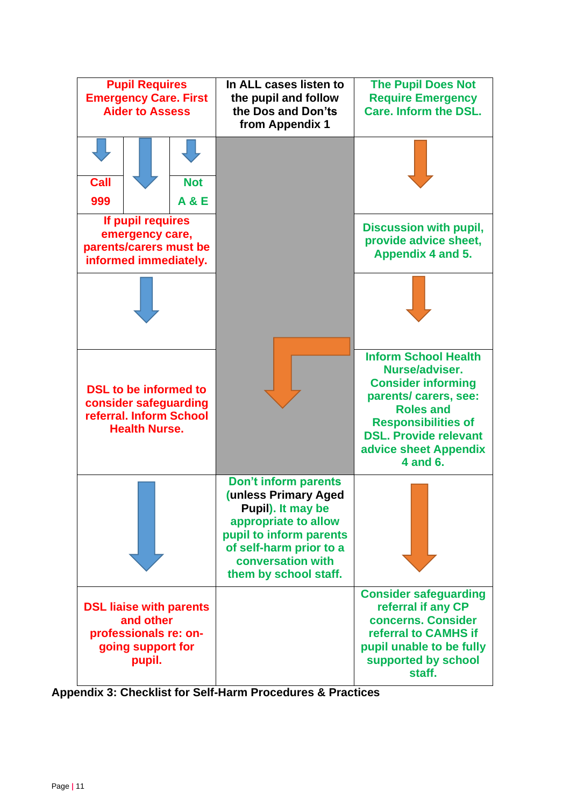

**Appendix 3: Checklist for Self-Harm Procedures & Practices**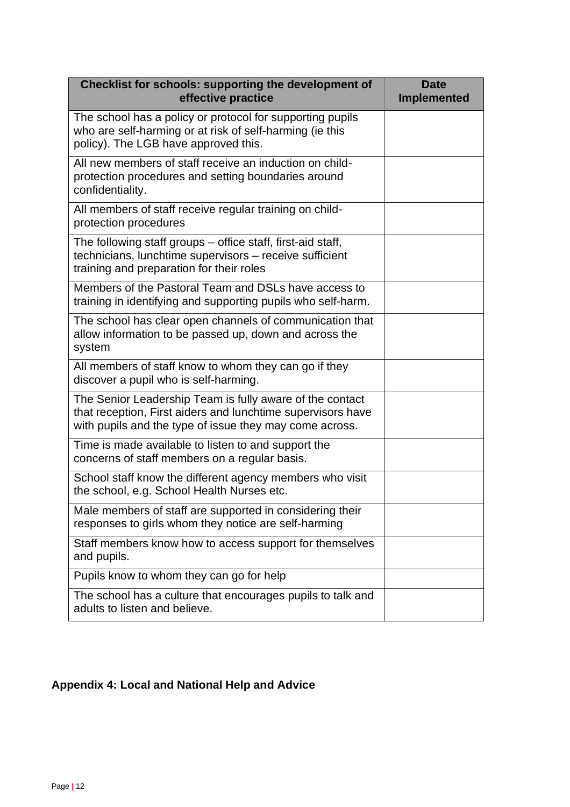| Checklist for schools: supporting the development of<br>effective practice                                                                                                         | <b>Date</b><br><b>Implemented</b> |
|------------------------------------------------------------------------------------------------------------------------------------------------------------------------------------|-----------------------------------|
| The school has a policy or protocol for supporting pupils<br>who are self-harming or at risk of self-harming (ie this<br>policy). The LGB have approved this.                      |                                   |
| All new members of staff receive an induction on child-<br>protection procedures and setting boundaries around<br>confidentiality.                                                 |                                   |
| All members of staff receive regular training on child-<br>protection procedures                                                                                                   |                                   |
| The following staff groups – office staff, first-aid staff,<br>technicians, lunchtime supervisors - receive sufficient<br>training and preparation for their roles                 |                                   |
| Members of the Pastoral Team and DSLs have access to<br>training in identifying and supporting pupils who self-harm.                                                               |                                   |
| The school has clear open channels of communication that<br>allow information to be passed up, down and across the<br>system                                                       |                                   |
| All members of staff know to whom they can go if they<br>discover a pupil who is self-harming.                                                                                     |                                   |
| The Senior Leadership Team is fully aware of the contact<br>that reception, First aiders and lunchtime supervisors have<br>with pupils and the type of issue they may come across. |                                   |
| Time is made available to listen to and support the<br>concerns of staff members on a regular basis.                                                                               |                                   |
| School staff know the different agency members who visit<br>the school, e.g. School Health Nurses etc.                                                                             |                                   |
| Male members of staff are supported in considering their<br>responses to girls whom they notice are self-harming                                                                   |                                   |
| Staff members know how to access support for themselves<br>and pupils.                                                                                                             |                                   |
| Pupils know to whom they can go for help                                                                                                                                           |                                   |
| The school has a culture that encourages pupils to talk and<br>adults to listen and believe.                                                                                       |                                   |

# **Appendix 4: Local and National Help and Advice**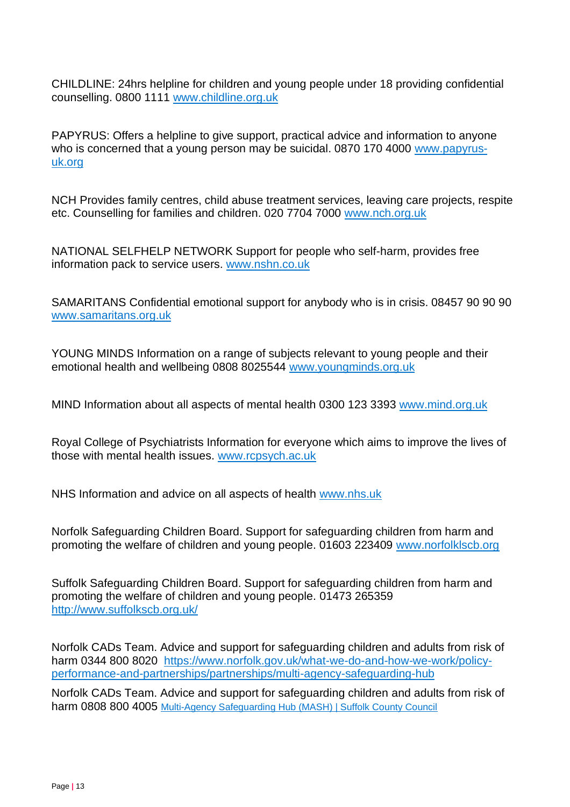CHILDLINE: 24hrs helpline for children and young people under 18 providing confidential counselling. 0800 1111 [www.childline.org.uk](http://www.childline.org.uk/)

PAPYRUS: Offers a helpline to give support, practical advice and information to anyone who is concerned that a young person may be suicidal. 0870 170 4000 [www.papyrus](http://www.papyrus-uk.org/)[uk.org](http://www.papyrus-uk.org/)

NCH Provides family centres, child abuse treatment services, leaving care projects, respite etc. Counselling for families and children. 020 7704 7000 [www.nch.org.uk](http://www.nch.org.uk/)

NATIONAL SELFHELP NETWORK Support for people who self-harm, provides free information pack to service users. [www.nshn.co.uk](http://www.nshn.co.uk/)

SAMARITANS Confidential emotional support for anybody who is in crisis. 08457 90 90 90 [www.samaritans.org.uk](http://www.samaritans.org.uk/)

YOUNG MINDS Information on a range of subjects relevant to young people and their emotional health and wellbeing 0808 8025544 [www.youngminds.org.uk](http://www.youngminds.org.uk/)

MIND Information about all aspects of mental health 0300 123 3393 [www.mind.org.uk](http://www.mind.org.uk/)

Royal College of Psychiatrists Information for everyone which aims to improve the lives of those with mental health issues. [www.rcpsych.ac.uk](http://www.rcpsych.ac.uk/)

NHS Information and advice on all aspects of health [www.nhs.uk](http://www.nhs.uk/)

Norfolk Safeguarding Children Board. Support for safeguarding children from harm and promoting the welfare of children and young people. 01603 223409 [www.norfolklscb.org](http://www.norfolklscb.org/)

Suffolk Safeguarding Children Board. Support for safeguarding children from harm and promoting the welfare of children and young people. [01473 265359](mailto:01473%20265359) <http://www.suffolkscb.org.uk/>

Norfolk CADs Team. Advice and support for safeguarding children and adults from risk of harm 0344 800 8020 [https://www.norfolk.gov.uk/what-we-do-and-how-we-work/policy](https://www.norfolk.gov.uk/what-we-do-and-how-we-work/policy-performance-and-partnerships/partnerships/multi-agency-safeguarding-hub)[performance-and-partnerships/partnerships/multi-agency-safeguarding-hub](https://www.norfolk.gov.uk/what-we-do-and-how-we-work/policy-performance-and-partnerships/partnerships/multi-agency-safeguarding-hub) 

Norfolk CADs Team. Advice and support for safeguarding children and adults from risk of harm 0808 800 4005 [Multi-Agency Safeguarding Hub \(MASH\) | Suffolk County Council](https://www.suffolk.gov.uk/care-and-support-for-adults/protecting-people-at-risk-of-abuse/mash/#:~:text=The%20Suffolk%20MASH%20helps%20people%20in%20the%20county,and%20adults%20at%20risk%20of%20harm%20and%20abuse.)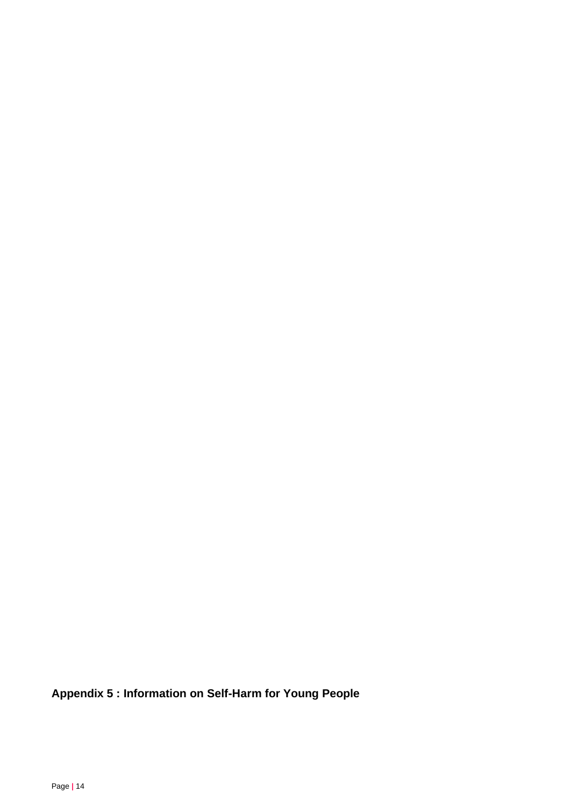**Appendix 5 : Information on Self-Harm for Young People**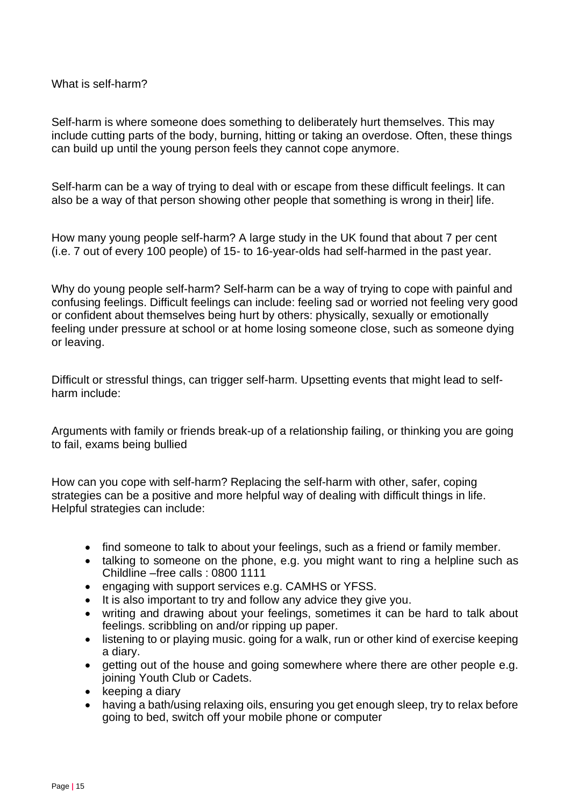#### What is self-harm?

Self-harm is where someone does something to deliberately hurt themselves. This may include cutting parts of the body, burning, hitting or taking an overdose. Often, these things can build up until the young person feels they cannot cope anymore.

Self-harm can be a way of trying to deal with or escape from these difficult feelings. It can also be a way of that person showing other people that something is wrong in their] life.

How many young people self-harm? A large study in the UK found that about 7 per cent (i.e. 7 out of every 100 people) of 15- to 16-year-olds had self-harmed in the past year.

Why do young people self-harm? Self-harm can be a way of trying to cope with painful and confusing feelings. Difficult feelings can include: feeling sad or worried not feeling very good or confident about themselves being hurt by others: physically, sexually or emotionally feeling under pressure at school or at home losing someone close, such as someone dying or leaving.

Difficult or stressful things, can trigger self-harm. Upsetting events that might lead to selfharm include:

Arguments with family or friends break-up of a relationship failing, or thinking you are going to fail, exams being bullied

How can you cope with self-harm? Replacing the self-harm with other, safer, coping strategies can be a positive and more helpful way of dealing with difficult things in life. Helpful strategies can include:

- find someone to talk to about your feelings, such as a friend or family member.
- talking to someone on the phone, e.g. you might want to ring a helpline such as Childline –free calls : 0800 1111
- engaging with support services e.g. CAMHS or YFSS.
- It is also important to try and follow any advice they give you.
- writing and drawing about your feelings, sometimes it can be hard to talk about feelings. scribbling on and/or ripping up paper.
- listening to or playing music. going for a walk, run or other kind of exercise keeping a diary.
- getting out of the house and going somewhere where there are other people e.g. joining Youth Club or Cadets.
- keeping a diary
- having a bath/using relaxing oils, ensuring you get enough sleep, try to relax before going to bed, switch off your mobile phone or computer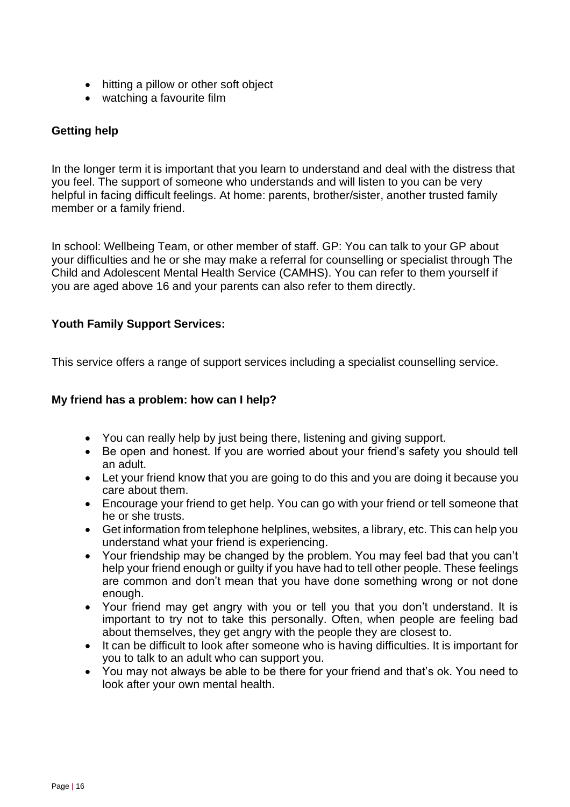- hitting a pillow or other soft object
- watching a favourite film

# **Getting help**

In the longer term it is important that you learn to understand and deal with the distress that you feel. The support of someone who understands and will listen to you can be very helpful in facing difficult feelings. At home: parents, brother/sister, another trusted family member or a family friend.

In school: Wellbeing Team, or other member of staff. GP: You can talk to your GP about your difficulties and he or she may make a referral for counselling or specialist through The Child and Adolescent Mental Health Service (CAMHS). You can refer to them yourself if you are aged above 16 and your parents can also refer to them directly.

## **Youth Family Support Services:**

This service offers a range of support services including a specialist counselling service.

#### **My friend has a problem: how can I help?**

- You can really help by just being there, listening and giving support.
- Be open and honest. If you are worried about your friend's safety you should tell an adult.
- Let your friend know that you are going to do this and you are doing it because you care about them.
- Encourage your friend to get help. You can go with your friend or tell someone that he or she trusts.
- Get information from telephone helplines, websites, a library, etc. This can help you understand what your friend is experiencing.
- Your friendship may be changed by the problem. You may feel bad that you can't help your friend enough or guilty if you have had to tell other people. These feelings are common and don't mean that you have done something wrong or not done enough.
- Your friend may get angry with you or tell you that you don't understand. It is important to try not to take this personally. Often, when people are feeling bad about themselves, they get angry with the people they are closest to.
- It can be difficult to look after someone who is having difficulties. It is important for you to talk to an adult who can support you.
- You may not always be able to be there for your friend and that's ok. You need to look after your own mental health.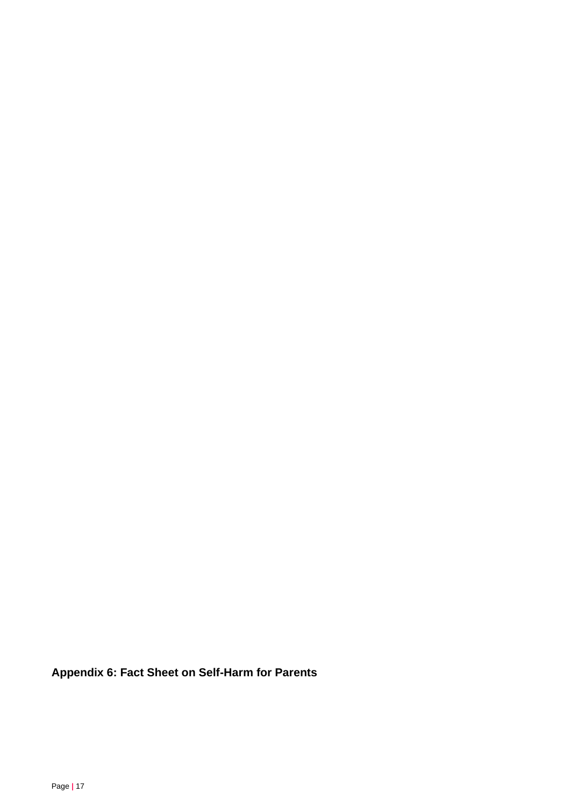**Appendix 6: Fact Sheet on Self-Harm for Parents**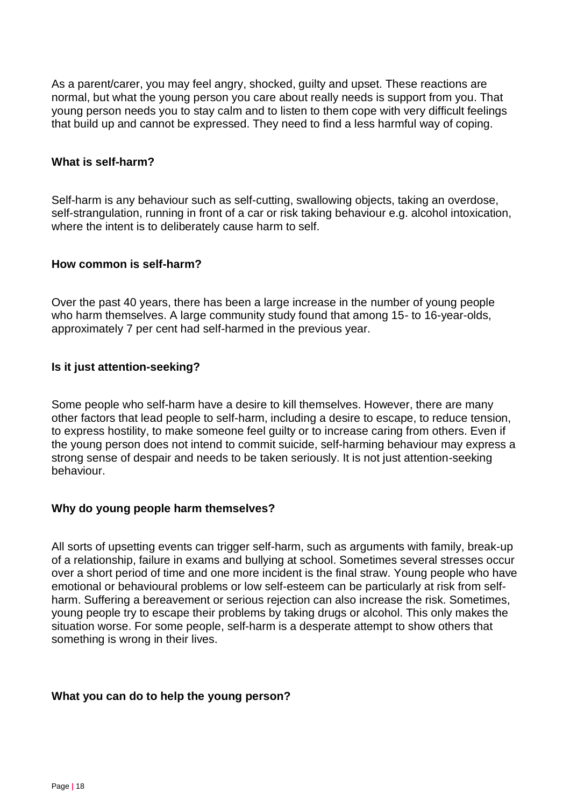As a parent/carer, you may feel angry, shocked, guilty and upset. These reactions are normal, but what the young person you care about really needs is support from you. That young person needs you to stay calm and to listen to them cope with very difficult feelings that build up and cannot be expressed. They need to find a less harmful way of coping.

#### **What is self-harm?**

Self-harm is any behaviour such as self-cutting, swallowing objects, taking an overdose, self-strangulation, running in front of a car or risk taking behaviour e.g. alcohol intoxication, where the intent is to deliberately cause harm to self.

#### **How common is self-harm?**

Over the past 40 years, there has been a large increase in the number of young people who harm themselves. A large community study found that among 15- to 16-year-olds, approximately 7 per cent had self-harmed in the previous year.

#### **Is it just attention-seeking?**

Some people who self-harm have a desire to kill themselves. However, there are many other factors that lead people to self-harm, including a desire to escape, to reduce tension, to express hostility, to make someone feel guilty or to increase caring from others. Even if the young person does not intend to commit suicide, self-harming behaviour may express a strong sense of despair and needs to be taken seriously. It is not just attention-seeking behaviour.

#### **Why do young people harm themselves?**

All sorts of upsetting events can trigger self-harm, such as arguments with family, break-up of a relationship, failure in exams and bullying at school. Sometimes several stresses occur over a short period of time and one more incident is the final straw. Young people who have emotional or behavioural problems or low self-esteem can be particularly at risk from selfharm. Suffering a bereavement or serious rejection can also increase the risk. Sometimes, young people try to escape their problems by taking drugs or alcohol. This only makes the situation worse. For some people, self-harm is a desperate attempt to show others that something is wrong in their lives.

#### **What you can do to help the young person?**